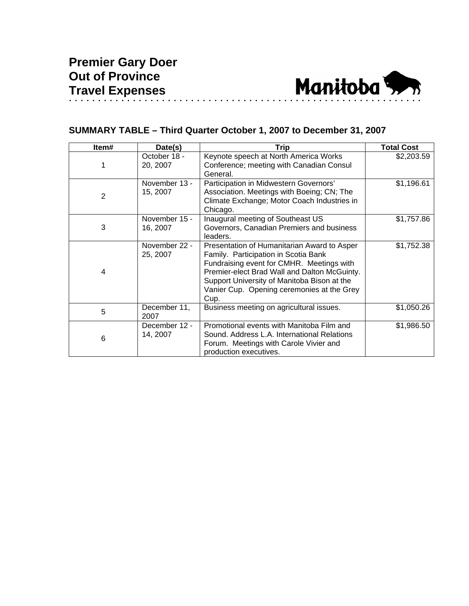

## **SUMMARY TABLE – Third Quarter October 1, 2007 to December 31, 2007**

| Item#          | Date(s)                   | <b>Trip</b>                                                                                                                                                                                                                                                                           | <b>Total Cost</b> |
|----------------|---------------------------|---------------------------------------------------------------------------------------------------------------------------------------------------------------------------------------------------------------------------------------------------------------------------------------|-------------------|
|                | October 18 -<br>20, 2007  | Keynote speech at North America Works<br>Conference; meeting with Canadian Consul<br>General.                                                                                                                                                                                         | \$2,203.59        |
| $\overline{2}$ | November 13 -<br>15, 2007 | Participation in Midwestern Governors'<br>Association. Meetings with Boeing; CN; The<br>Climate Exchange; Motor Coach Industries in<br>Chicago.                                                                                                                                       | \$1,196.61        |
| 3              | November 15 -<br>16, 2007 | Inaugural meeting of Southeast US<br>Governors, Canadian Premiers and business<br>leaders.                                                                                                                                                                                            | \$1,757.86        |
| 4              | November 22 -<br>25, 2007 | Presentation of Humanitarian Award to Asper<br>Family. Participation in Scotia Bank<br>Fundraising event for CMHR. Meetings with<br>Premier-elect Brad Wall and Dalton McGuinty.<br>Support University of Manitoba Bison at the<br>Vanier Cup. Opening ceremonies at the Grey<br>Cup. | \$1,752.38        |
| 5              | December 11,<br>2007      | Business meeting on agricultural issues.                                                                                                                                                                                                                                              | \$1,050.26        |
| 6              | December 12 -<br>14, 2007 | Promotional events with Manitoba Film and<br>Sound. Address L.A. International Relations<br>Forum. Meetings with Carole Vivier and<br>production executives.                                                                                                                          | \$1,986.50        |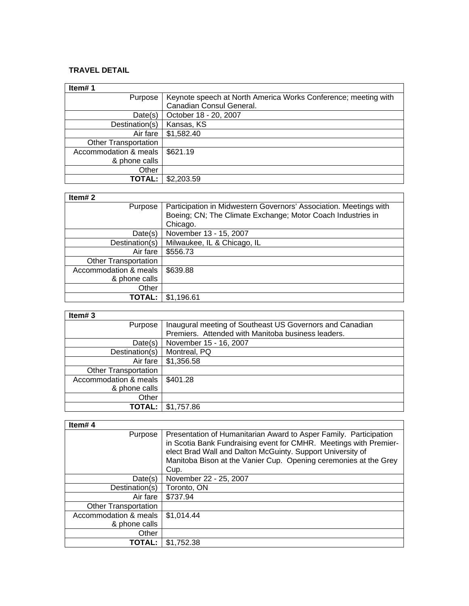## **TRAVEL DETAIL**

| Item#1                      |                                                                |
|-----------------------------|----------------------------------------------------------------|
| Purpose                     | Keynote speech at North America Works Conference; meeting with |
|                             | Canadian Consul General.                                       |
| Date(s)                     | October 18 - 20, 2007                                          |
| Destination(s)              | Kansas, KS                                                     |
| Air fare                    | \$1,582.40                                                     |
| <b>Other Transportation</b> |                                                                |
| Accommodation & meals       | \$621.19                                                       |
| & phone calls               |                                                                |
| Other                       |                                                                |
| TOTAL:                      | \$2,203.59                                                     |

## **Item# 2**

| Item# $2$                   |                                                                   |
|-----------------------------|-------------------------------------------------------------------|
| Purpose                     | Participation in Midwestern Governors' Association. Meetings with |
|                             | Boeing; CN; The Climate Exchange; Motor Coach Industries in       |
|                             | Chicago.                                                          |
| Date(s)                     | November 13 - 15, 2007                                            |
| Destination(s)              | Milwaukee, IL & Chicago, IL                                       |
| Air fare                    | \$556.73                                                          |
| <b>Other Transportation</b> |                                                                   |
| Accommodation & meals       | \$639.88                                                          |
| & phone calls               |                                                                   |
| Other                       |                                                                   |
| TOTAL:                      | \$1,196.61                                                        |

| × |  |  |
|---|--|--|
|---|--|--|

| Item# $3$                   |                                                          |
|-----------------------------|----------------------------------------------------------|
| Purpose                     | Inaugural meeting of Southeast US Governors and Canadian |
|                             | Premiers. Attended with Manitoba business leaders.       |
| Date(s)                     | November 15 - 16, 2007                                   |
| Destination(s)              | Montreal, PQ                                             |
| Air fare                    | \$1,356.58                                               |
| <b>Other Transportation</b> |                                                          |
| Accommodation & meals       | \$401.28                                                 |
| & phone calls               |                                                          |
| Other                       |                                                          |
| TOTAL: l                    | \$1,757.86                                               |

<u> 1980 - Johann Barn, mars eta bainar eta baina eta baina eta baina eta baina eta baina eta baina eta baina e</u>

| Item#4                      |                                                                                                                                                                                                                                                                                  |
|-----------------------------|----------------------------------------------------------------------------------------------------------------------------------------------------------------------------------------------------------------------------------------------------------------------------------|
| Purpose                     | Presentation of Humanitarian Award to Asper Family. Participation<br>in Scotia Bank Fundraising event for CMHR. Meetings with Premier-<br>elect Brad Wall and Dalton McGuinty. Support University of<br>Manitoba Bison at the Vanier Cup. Opening ceremonies at the Grey<br>Cup. |
| Date(s)                     | November 22 - 25, 2007                                                                                                                                                                                                                                                           |
| Destination(s)              | Toronto, ON                                                                                                                                                                                                                                                                      |
| Air fare                    | \$737.94                                                                                                                                                                                                                                                                         |
| <b>Other Transportation</b> |                                                                                                                                                                                                                                                                                  |
| Accommodation & meals       | \$1,014.44                                                                                                                                                                                                                                                                       |
| & phone calls               |                                                                                                                                                                                                                                                                                  |
| Other                       |                                                                                                                                                                                                                                                                                  |
| TOTAL:                      | \$1.752.38                                                                                                                                                                                                                                                                       |